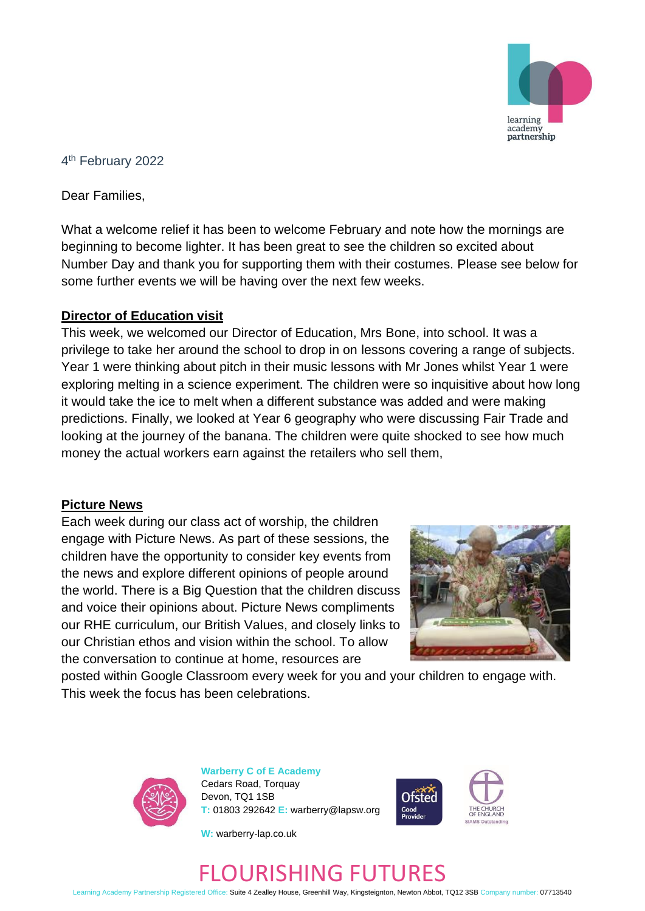

## 4 th February 2022

Dear Families,

What a welcome relief it has been to welcome February and note how the mornings are beginning to become lighter. It has been great to see the children so excited about Number Day and thank you for supporting them with their costumes. Please see below for some further events we will be having over the next few weeks.

## **Director of Education visit**

This week, we welcomed our Director of Education, Mrs Bone, into school. It was a privilege to take her around the school to drop in on lessons covering a range of subjects. Year 1 were thinking about pitch in their music lessons with Mr Jones whilst Year 1 were exploring melting in a science experiment. The children were so inquisitive about how long it would take the ice to melt when a different substance was added and were making predictions. Finally, we looked at Year 6 geography who were discussing Fair Trade and looking at the journey of the banana. The children were quite shocked to see how much money the actual workers earn against the retailers who sell them,

#### **Picture News**

Each week during our class act of worship, the children engage with Picture News. As part of these sessions, the children have the opportunity to consider key events from the news and explore different opinions of people around the world. There is a Big Question that the children discuss and voice their opinions about. Picture News compliments our RHE curriculum, our British Values, and closely links to our Christian ethos and vision within the school. To allow the conversation to continue at home, resources are



posted within Google Classroom every week for you and your children to engage with. This week the focus has been celebrations.



**Warberry C of E Academy** Cedars Road, Torquay Devon, TQ1 1SB **T:** 01803 292642 **E:** warberry@lapsw.org



**W:** warberry-lap.co.uk

## FLOURISHING FUTURES

Learning Academy Partnership Registered Office: Suite 4 Zealley House, Greenhill Way, Kingsteignton, Newton Abbot, TQ12 3SB Company number: 07713540